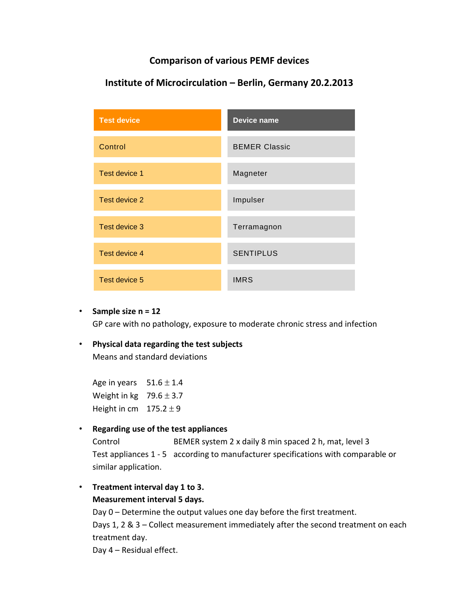### **Comparison of various PEMF devices**

| <b>Test device</b> | <b>Device name</b>   |
|--------------------|----------------------|
| Control            | <b>BEMER Classic</b> |
| Test device 1      | Magneter             |
| Test device 2      | Impulser             |
| Test device 3      | Terramagnon          |
| Test device 4      | <b>SENTIPLUS</b>     |
| Test device 5      | <b>IMRS</b>          |

## **Institute of Microcirculation – Berlin, Germany 20.2.2013**

• **Sample size n = 12**

GP care with no pathology, exposure to moderate chronic stress and infection

### • **Physical data regarding the test subjects**

Means and standard deviations

Age in years  $51.6 \pm 1.4$ Weight in kg  $79.6 \pm 3.7$ Height in cm  $175.2 \pm 9$ 

#### • **Regarding use of the test appliances**

Control BEMER system 2 x daily 8 min spaced 2 h, mat, level 3 Test appliances 1 - 5 according to manufacturer specifications with comparable or similar application.

• **Treatment interval day 1 to 3. Measurement interval 5 days.**

> Day 0 – Determine the output values one day before the first treatment. Days 1, 2 & 3 – Collect measurement immediately after the second treatment on each treatment day.

Day 4 – Residual effect.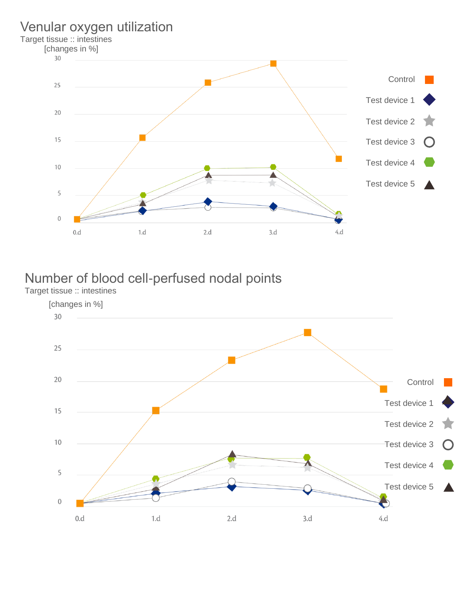# Venular oxygen utilization

Target tissue :: intestines



# Number of blood cell-perfused nodal points

Target tissue :: intestines